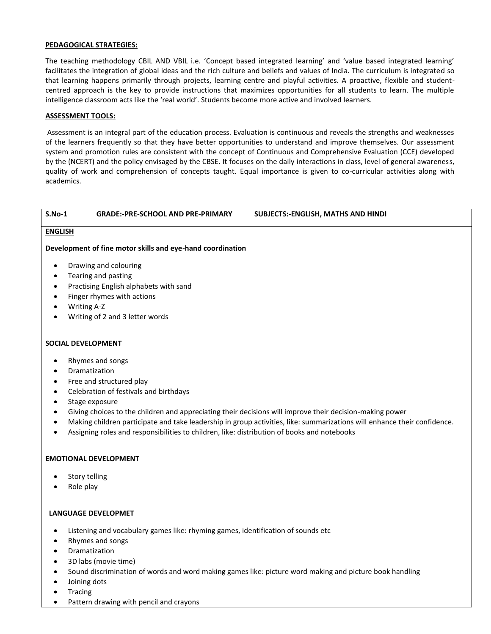### **PEDAGOGICAL STRATEGIES:**

The teaching methodology CBIL AND VBIL i.e. 'Concept based integrated learning' and 'value based integrated learning' facilitates the integration of global ideas and the rich culture and beliefs and values of India. The curriculum is integrated so that learning happens primarily through projects, learning centre and playful activities. A proactive, flexible and studentcentred approach is the key to provide instructions that maximizes opportunities for all students to learn. The multiple intelligence classroom acts like the 'real world'. Students become more active and involved learners.

### **ASSESSMENT TOOLS:**

 Assessment is an integral part of the education process. Evaluation is continuous and reveals the strengths and weaknesses of the learners frequently so that they have better opportunities to understand and improve themselves. Our assessment system and promotion rules are consistent with the concept of Continuous and Comprehensive Evaluation (CCE) developed by the (NCERT) and the policy envisaged by the CBSE. It focuses on the daily interactions in class, level of general awareness, quality of work and comprehension of concepts taught. Equal importance is given to co-curricular activities along with academics.

| $S.No-1$       | <b>GRADE:-PRE-SCHOOL AND PRE-PRIMARY</b>                   | <b>SUBJECTS:-ENGLISH, MATHS AND HINDI</b> |  |  |  |  |
|----------------|------------------------------------------------------------|-------------------------------------------|--|--|--|--|
| <b>ENGLISH</b> |                                                            |                                           |  |  |  |  |
|                | Development of fine motor skills and eye-hand coordination |                                           |  |  |  |  |
| ٠              | Drawing and colouring                                      |                                           |  |  |  |  |
| ٠              | Tearing and pasting                                        |                                           |  |  |  |  |
| $\bullet$      | Practising English alphabets with sand                     |                                           |  |  |  |  |
| $\bullet$      | Finger rhymes with actions                                 |                                           |  |  |  |  |

- Writing A-Z
- Writing of 2 and 3 letter words

### **SOCIAL DEVELOPMENT**

- Rhymes and songs
- Dramatization
- Free and structured play
- Celebration of festivals and birthdays
- Stage exposure
- Giving choices to the children and appreciating their decisions will improve their decision-making power
- Making children participate and take leadership in group activities, like: summarizations will enhance their confidence.
- Assigning roles and responsibilities to children, like: distribution of books and notebooks

### **EMOTIONAL DEVELOPMENT**

- Story telling
- Role play

### **LANGUAGE DEVELOPMET**

- Listening and vocabulary games like: rhyming games, identification of sounds etc
- Rhymes and songs
- Dramatization
- 3D labs (movie time)
- Sound discrimination of words and word making games like: picture word making and picture book handling
- Joining dots
- **Tracing**
- Pattern drawing with pencil and crayons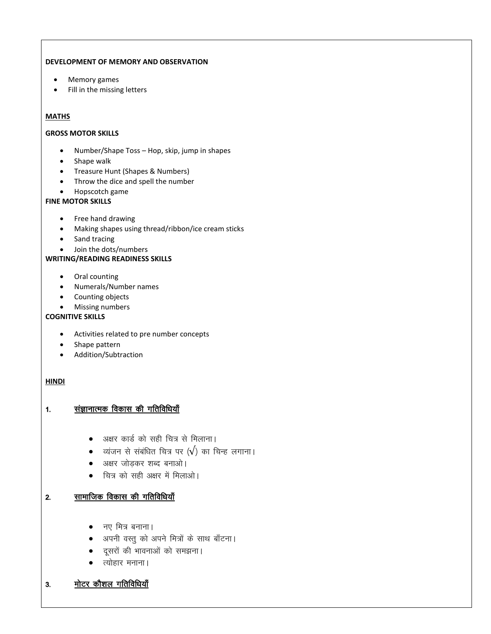### **DEVELOPMENT OF MEMORY AND OBSERVATION**

- Memory games
- Fill in the missing letters

### **MATHS**

### **GROSS MOTOR SKILLS**

- Number/Shape Toss Hop, skip, jump in shapes
- Shape walk
- Treasure Hunt (Shapes & Numbers)
- Throw the dice and spell the number
- Hopscotch game

### **FINE MOTOR SKILLS**

- Free hand drawing
- Making shapes using thread/ribbon/ice cream sticks
- Sand tracing
- Join the dots/numbers

### **WRITING/READING READINESS SKILLS**

- Oral counting
- Numerals/Number names
- Counting objects
- Missing numbers

### **COGNITIVE SKILLS**

- Activities related to pre number concepts
- Shape pattern
- Addition/Subtraction

### **HINDI**

- <u>1. संज्ञानात्मक विकास की गतिविधियाँ</u>
	- $\bullet$  अक्षर कार्ड को सही चित्र से मिलाना।
	- $\bullet$  व्यंजन से संबंधित चित्र पर ( $\sqrt{ }$ ) का चिन्ह लगाना।
	- $\bullet$  अक्षर जोडकर शब्द बनाओ।
	- $\bullet$  वित्र को सही अक्षर में मिलाओ।

# 2. सामाजिक विकास की गतिविधियाँ

- $\bullet$  नए मित्र बनाना।
- अपनी वस्तू को अपने मित्रों के साथ बाँटना।
- दूसरों की भावनाओं को समझना।
- $\bullet$  त्योहार मनाना।

# 3. <u>मोटर कौशल गतिविधियाँ</u>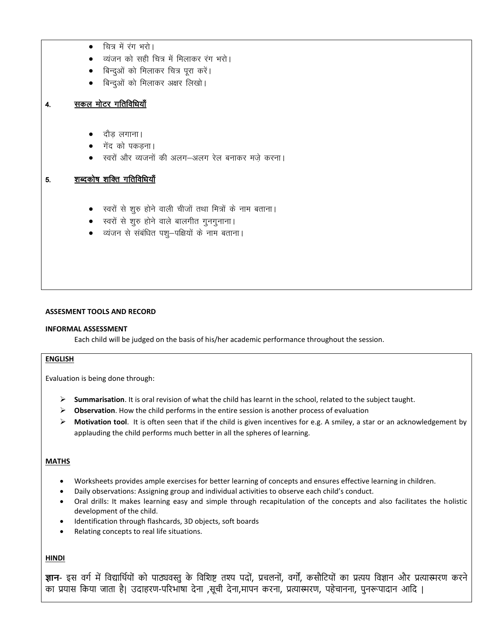- $\bullet$  वित्र में रंग भरो।
- व्यंजन को सही चित्र में मिलाकर रंग भरो।
- बिन्दुओं को मिलाकर चित्र पूरा करें।
- बिन्दुओं को मिलाकर अक्षर लिखो।

### 4. सकल मोटर गतिविधियाँ

- दौड लगाना।
- गेंद को पकडना।
- स्वरों और व्यजनों की अलग-अलग रेल बनाकर मजे करना।

# 5. सब्दकोष शक्ति गतिविधियाँ

- $\bullet$  रवरों से शुरु होने वाली चीजों तथा मित्रों के नाम बताना।
- स्वरों से शुरु होने वाले बालगीत गुनगुनाना।
- $\bullet$  व्यंजन से संबंधित पशु–पक्षियों के नाम बताना।

### **ASSESMENT TOOLS AND RECORD**

### **INFORMAL ASSESSMENT**

Each child will be judged on the basis of his/her academic performance throughout the session.

### **ENGLISH**

Evaluation is being done through:

- **Summarisation**. It is oral revision of what the child has learnt in the school, related to the subject taught.
- **Observation**. How the child performs in the entire session is another process of evaluation
- **Motivation tool**. It is often seen that if the child is given incentives for e.g. A smiley, a star or an acknowledgement by applauding the child performs much better in all the spheres of learning.

### **MATHS**

- Worksheets provides ample exercises for better learning of concepts and ensures effective learning in children.
- Daily observations: Assigning group and individual activities to observe each child's conduct.
- Oral drills: It makes learning easy and simple through recapitulation of the concepts and also facilitates the holistic development of the child.
- Identification through flashcards, 3D objects, soft boards
- Relating concepts to real life situations.

### **HINDI**

**ज्ञान**- इस वर्ग में विद्यार्थियों को पाठ्यवस्तु के विशिष्ट तश्य पदों, प्रचलनों, वर्गों, कसौटियों का प्रत्यय विज्ञान और प्रत्यास्मरण करने का प्रयास वकया जाता है| उदाहरण-पररभाषा देना ,सूची देना,मापन करना, प्रत्यास्मरण, पहेचानना, पुनरूपादान आवद |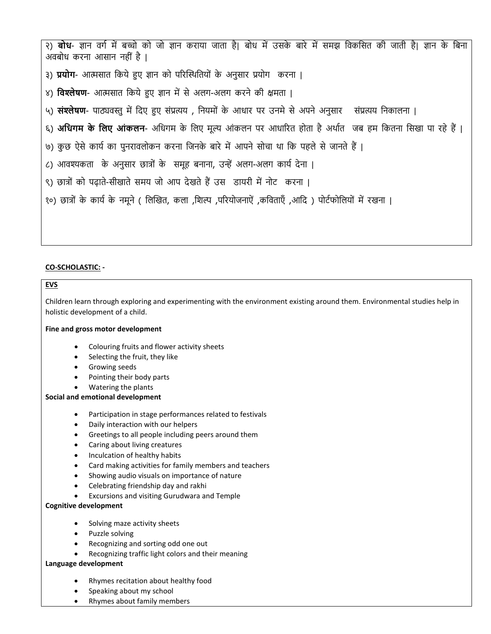<u>२) **बोध**- ज्ञान वर्ग में बच्चो को जो ज्ञान कराया जाता है। बोध में उसके बारे में समझ विकसित की जाती है। ज्ञान के बिना</u> अवबोध करना आसान नहीं है । ३) **प्रयोग**- आत्मसात किये हुए ज्ञान को परिस्थितियों के अनुसार प्रयोग करना | ४) **विश्लेषण**- आत्मसात किये हुए ज्ञान में से अलग-अलग करने की क्षमता | ५) **संश्लेषण**- पाठ्यवस्तु में दिए हुए संप्रत्यय , नियमों के आधार पर उनमे से अपने अनुसार संप्रत्यय निकालना | ६) **अधिगम के लिए आंकलन**- अधिगम के लिए मूल्य आंकलन पर आधारित होता है अर्थात जब हम कितना सिखा पा रहे हैं । ७) कुछ ऐसे कार्य का पुनरावलोकन करना जिनके बारे में आपने सोचा था कि पहले से जानते हैं । ८) आवश्यकता के अनुसार छात्रों के समूह बनाना, उन्हें अलग-अलग कार्य देना | ९) छात्रों को पढ़ाते-सीखाते समय जो आप देखते हैं उस डायरी में नोट करना । १०) छात्रों के कार्य के नमूने ( लिखित, कला ,शिल्प ,परियोजनाऐं ,कविताएँ ,आदि ) पोर्टफोलियों में रखना |

### **CO-SCHOLASTIC: -**

### **EVS**

Children learn through exploring and experimenting with the environment existing around them. Environmental studies help in holistic development of a child.

### **Fine and gross motor development**

- Colouring fruits and flower activity sheets
- Selecting the fruit, they like
- Growing seeds
- Pointing their body parts
- Watering the plants

### **Social and emotional development**

- Participation in stage performances related to festivals
- Daily interaction with our helpers
- Greetings to all people including peers around them
- Caring about living creatures
- Inculcation of healthy habits
- Card making activities for family members and teachers
- Showing audio visuals on importance of nature
- Celebrating friendship day and rakhi
- Excursions and visiting Gurudwara and Temple

### **Cognitive development**

- Solving maze activity sheets
- Puzzle solving
- Recognizing and sorting odd one out
- Recognizing traffic light colors and their meaning

### **Language development**

- Rhymes recitation about healthy food
- Speaking about my school
- Rhymes about family members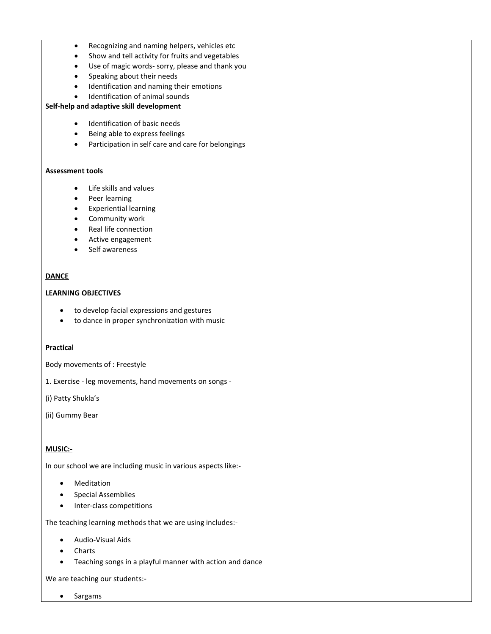- Recognizing and naming helpers, vehicles etc
- Show and tell activity for fruits and vegetables
- Use of magic words- sorry, please and thank you
- Speaking about their needs
- Identification and naming their emotions
- Identification of animal sounds

# **Self-help and adaptive skill development**

- **•** Identification of basic needs
- Being able to express feelings
- Participation in self care and care for belongings

#### **Assessment tools**

- Life skills and values
- Peer learning
- Experiential learning
- Community work
- Real life connection
- Active engagement
- Self awareness

### **DANCE**

### **LEARNING OBJECTIVES**

- to develop facial expressions and gestures
- to dance in proper synchronization with music

### **Practical**

Body movements of : Freestyle

1. Exercise - leg movements, hand movements on songs -

(i) Patty Shukla's

(ii) Gummy Bear

### **MUSIC:-**

In our school we are including music in various aspects like:-

- Meditation
- Special Assemblies
- Inter-class competitions

The teaching learning methods that we are using includes:-

- Audio-Visual Aids
- Charts
- Teaching songs in a playful manner with action and dance

We are teaching our students:-

• Sargams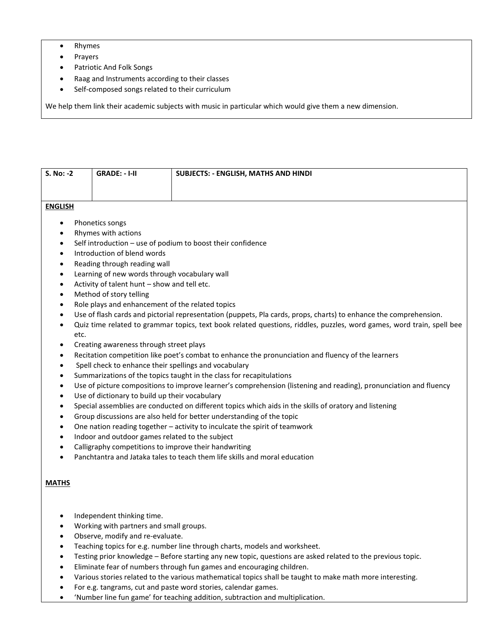- Rhymes
- Prayers
- Patriotic And Folk Songs
- Raag and Instruments according to their classes
- Self-composed songs related to their curriculum

We help them link their academic subjects with music in particular which would give them a new dimension.

| S. No: -2         | <b>GRADE: - I-II</b><br><b>SUBJECTS: - ENGLISH, MATHS AND HINDI</b>        |                                                                                                                       |  |  |  |  |  |  |
|-------------------|----------------------------------------------------------------------------|-----------------------------------------------------------------------------------------------------------------------|--|--|--|--|--|--|
|                   |                                                                            |                                                                                                                       |  |  |  |  |  |  |
|                   |                                                                            |                                                                                                                       |  |  |  |  |  |  |
| <b>ENGLISH</b>    |                                                                            |                                                                                                                       |  |  |  |  |  |  |
| $\bullet$         | Phonetics songs                                                            |                                                                                                                       |  |  |  |  |  |  |
| $\bullet$         | Rhymes with actions                                                        |                                                                                                                       |  |  |  |  |  |  |
| $\bullet$         |                                                                            | Self introduction - use of podium to boost their confidence                                                           |  |  |  |  |  |  |
| $\bullet$         | Introduction of blend words                                                |                                                                                                                       |  |  |  |  |  |  |
| $\bullet$         | Reading through reading wall                                               |                                                                                                                       |  |  |  |  |  |  |
| $\bullet$         | Learning of new words through vocabulary wall                              |                                                                                                                       |  |  |  |  |  |  |
| $\bullet$         | Activity of talent hunt - show and tell etc.                               |                                                                                                                       |  |  |  |  |  |  |
| $\bullet$         | Method of story telling                                                    |                                                                                                                       |  |  |  |  |  |  |
| $\bullet$         | Role plays and enhancement of the related topics                           |                                                                                                                       |  |  |  |  |  |  |
| $\bullet$         |                                                                            | Use of flash cards and pictorial representation (puppets, Pla cards, props, charts) to enhance the comprehension.     |  |  |  |  |  |  |
| $\bullet$<br>etc. |                                                                            | Quiz time related to grammar topics, text book related questions, riddles, puzzles, word games, word train, spell bee |  |  |  |  |  |  |
| $\bullet$         | Creating awareness through street plays                                    |                                                                                                                       |  |  |  |  |  |  |
| $\bullet$         |                                                                            | Recitation competition like poet's combat to enhance the pronunciation and fluency of the learners                    |  |  |  |  |  |  |
| $\bullet$         | Spell check to enhance their spellings and vocabulary                      |                                                                                                                       |  |  |  |  |  |  |
| $\bullet$         |                                                                            | Summarizations of the topics taught in the class for recapitulations                                                  |  |  |  |  |  |  |
| $\bullet$         |                                                                            | Use of picture compositions to improve learner's comprehension (listening and reading), pronunciation and fluency     |  |  |  |  |  |  |
| $\bullet$         | Use of dictionary to build up their vocabulary                             |                                                                                                                       |  |  |  |  |  |  |
| ٠                 |                                                                            | Special assemblies are conducted on different topics which aids in the skills of oratory and listening                |  |  |  |  |  |  |
| $\bullet$         |                                                                            | Group discussions are also held for better understanding of the topic                                                 |  |  |  |  |  |  |
| $\bullet$         |                                                                            | One nation reading together - activity to inculcate the spirit of teamwork                                            |  |  |  |  |  |  |
| $\bullet$         | Indoor and outdoor games related to the subject                            |                                                                                                                       |  |  |  |  |  |  |
| $\bullet$         | Calligraphy competitions to improve their handwriting                      |                                                                                                                       |  |  |  |  |  |  |
|                   | Panchtantra and Jataka tales to teach them life skills and moral education |                                                                                                                       |  |  |  |  |  |  |
| <b>MATHS</b>      |                                                                            |                                                                                                                       |  |  |  |  |  |  |
|                   |                                                                            |                                                                                                                       |  |  |  |  |  |  |
|                   |                                                                            |                                                                                                                       |  |  |  |  |  |  |
| $\bullet$         | Independent thinking time.                                                 |                                                                                                                       |  |  |  |  |  |  |
| $\bullet$         | Working with partners and small groups.                                    |                                                                                                                       |  |  |  |  |  |  |
| $\bullet$         | Observe, modify and re-evaluate.                                           |                                                                                                                       |  |  |  |  |  |  |
| $\bullet$         |                                                                            | Teaching topics for e.g. number line through charts, models and worksheet.                                            |  |  |  |  |  |  |
|                   |                                                                            | Testing prior knowledge - Before starting any new topic, questions are asked related to the previous topic.           |  |  |  |  |  |  |
|                   | Eliminate fear of numbers through fun games and encouraging children.      |                                                                                                                       |  |  |  |  |  |  |

- Various stories related to the various mathematical topics shall be taught to make math more interesting.
- For e.g. tangrams, cut and paste word stories, calendar games.
- 'Number line fun game' for teaching addition, subtraction and multiplication.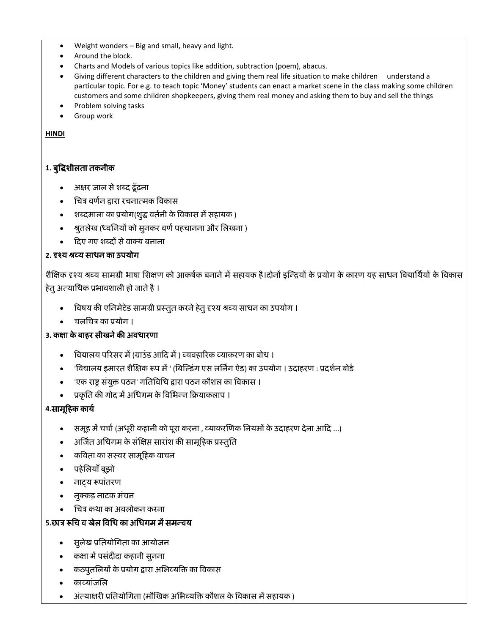- Weight wonders Big and small, heavy and light.
- Around the block.
- Charts and Models of various topics like addition, subtraction (poem), abacus.
- Giving different characters to the children and giving them real life situation to make children understand a particular topic. For e.g. to teach topic 'Money' students can enact a market scene in the class making some children customers and some children shopkeepers, giving them real money and asking them to buy and sell the things
- Problem solving tasks
- Group work

### **HINDI**

# **1.** बुद्धिशीलता तकनीक

- अक्षर जाल से शब्द ढूँढ़ना
- चित्र वर्णन द्वारा रिनात्मक द्धवकास
- शब्दमाला का प्रयोग(शुद्ध वर्तनी के विकास में सहायक )
- श्रुतलेख (ध्वनियों को सुनकर वर्ण पहचानना और लिखना )
- दिए गए शब्दों से वाक्य बनाना

# **2.** दृश्य श्रव्य साधन का उपयोग

शैक्षिक दृश्य श्रव्य सामग्री भाषा शिक्षण को आकर्षक बनाने में सहायक है।दोनों इन्द्रियों के प्रयोग के कारण यह साधन विद्यार्थियों के विकास हेतु अत्याधिक प्रभावशाली हो जाते है ।

- द्धवषय की एचनमेटेड सामग्री प्रस्तुत करनेहेतुदृश्य श्रव्य साधन का उपयोग ।
- वलचित्र का प्रयोग ।

# **3.** कक्षा के बाहर सीखनेकी अवधारर्ा

- विद्यालय परिसर में (ग्राउंड आदि में ) व्यवहारिक व्याकरण का बोध ।
- 'विद्यालय इमारत शैक्षिक रूप में ' (बिल्डिंग एस लर्निंग ऐड) का उपयोग । उदाहरण : प्रदर्शन बोर्ड

समूह में चर्चा (अधूरी कहानी को पूरा करना , व्याकरणिक नियमों के उदाहरण देना आदि ...)

- 'एक राष्ट्र संयुक्त पठन' गचतद्धवचध द्वारा पठन कौशल का द्धवकास ।
- 
- प्रकृति की गोद में अधिगम के विभिन्न क्रियाकलाप ।

# **4.**साम दहक कायण

- 
- 
- 

• पहेलियाँ बूझो नाट्य रूपांतरर्

काव्यांजचल

- 
- 
- 
- 
- 

• कविता का सस्वर सामूहिक वाचन

 सुलेख प्रचतयोचगता का आयोजन कक्षा मेंपसंदीदा कहानी सुनना

नुक्कड़ नाटक मंचन चित्र कथा का अवलोकन करना **5.**छात्र रूचि व खेल द्धवचध का अचधगम मेंसमरवय

- 
- 
- 

• अर्जित अधिगम के संक्षिप्त सारांश की सामूहिक प्रस्तुति

कठपुतलियों के प्रयोग द्वारा अभिव्यक्ति का विकास

अंत्याक्षरी प्रतियोगिता (मौखिक अभिव्यक्ति कौशल के विकास में सहायक )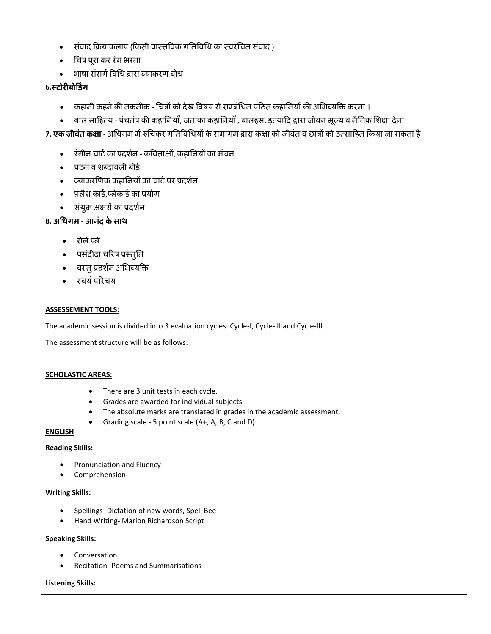- संवाद क्रियाकलाप (किसी वास्तविक गतिविधि का स्वरचित संवाद )
- वित्र पूरा कर रंग भरना
- भाषा संसर्ग विधि द्वारा व्याकरण बोध

# **6.**स्टोरीबोदडिंग

- कहानी कहनेकी तकनीक चित्रों को देख द्धवषय सेसम्बंचधत पदठत कहाचनयों की अचभव्यद्धक्त करना ।
- बाल साहित्य पंचतंत्र की कहानियाँ, जताका कहानियाँ , बालहंस, इत्यादि द्वारा जीवन मुल्य व नैतिक शिक्षा देना
- 7. **एक जीवंत कक्षा** अधिगम में रुचिकर गतिविधियों के समागम द्वारा कक्षा को जीवंत व छात्रों को उत्साहित किया जा सकता है
	- रंगीन चार्ट का प्रदर्शन कविताओं, कहानियों का मंचन
	- पठन व शब्दावली बोर्ड
	- व्याकरणिक कहानियों का चार्ट पर प्रदर्शन
	- $\bullet$  पुलेश कार्ड,प्लेकार्ड का प्रयोग
	- संयुक्त अक्षरों का प्रदशणन

# **8.** अचधगम **-** आनंद केसाथ

- रोलेप्ले
- पसंदीदा चरित्र प्रस्तुति
- वस्तु प्रदर्शन अभिव्यक्ति
- स्वयं परिचय

### **ASSESSEMENT TOOLS:**

The academic session is divided into 3 evaluation cycles: Cycle-I, Cycle- II and Cycle-III.

The assessment structure will be as follows:

### **SCHOLASTIC AREAS:**

- There are 3 unit tests in each cycle.
- Grades are awarded for individual subjects.
- The absolute marks are translated in grades in the academic assessment.
- Grading scale 5 point scale (A+, A, B, C and D)

### **ENGLISH**

### **Reading Skills:**

- Pronunciation and Fluency
- Comprehension –

### **Writing Skills:**

- Spellings- Dictation of new words, Spell Bee
- Hand Writing- Marion Richardson Script

### **Speaking Skills:**

- Conversation
- Recitation- Poems and Summarisations

### **Listening Skills:**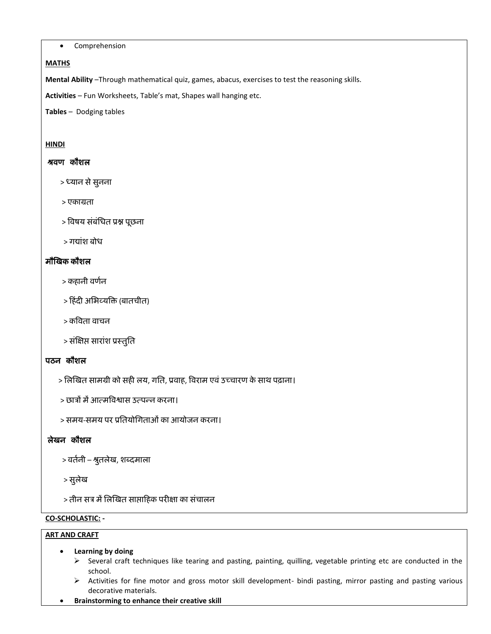Comprehension

## **MATHS**

**Mental Ability** –Through mathematical quiz, games, abacus, exercises to test the reasoning skills.

**Activities** – Fun Worksheets, Table's mat, Shapes wall hanging etc.

**Tables** – Dodging tables

### **HINDI**

### श्रवर्कौशल

- > ध्यान से सुनना
- > एकाग्रता
- > विषय संबंधित प्रश्न पूछना
- > गद्यांश बोध

# मौक्षखक कौशल

- > कहानी वर्णन
- > हिंदी अभिव्यक्ति (बातचीत)
- > कविता वाचन
- > संक्षिप्त सारांश प्रस्तुति

# पठनकौशल

- > लिखित सामग्री को सही लय, गति, प्रवाह, विराम एवं उच्चारण के साथ पढ़ाना।
- > छात्रों मेंआत्मद्धवश्वास उत्परन करना।
- > समय-समय पर प्रचतयोचगताओंका आयोजन करना।

### लेखनकौशल

- > वतणनी श्रुतलेख, शब्दमाला
- > सुलेख
- > तीन सत्र में लिखित साप्ताहिक परीक्षा का संचालन

# **CO-SCHOLASTIC: -**

## **ART AND CRAFT**

- **Learning by doing** 
	- $\triangleright$  Several craft techniques like tearing and pasting, painting, quilling, vegetable printing etc are conducted in the school.
	- Activities for fine motor and gross motor skill development- bindi pasting, mirror pasting and pasting various decorative materials.
- **Brainstorming to enhance their creative skill**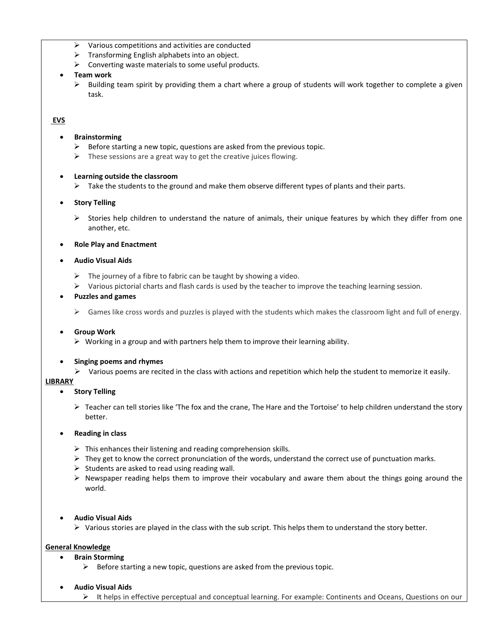- $\triangleright$  Various competitions and activities are conducted
- $\triangleright$  Transforming English alphabets into an object.
- $\triangleright$  Converting waste materials to some useful products.

### **Team work**

 $\triangleright$  Building team spirit by providing them a chart where a group of students will work together to complete a given task.

### **EVS**

- **Brainstorming** 
	- $\triangleright$  Before starting a new topic, questions are asked from the previous topic.
	- $\triangleright$  These sessions are a great way to get the creative juices flowing.

### **Learning outside the classroom**

 $\triangleright$  Take the students to the ground and make them observe different types of plants and their parts.

### **Story Telling**

 $\triangleright$  Stories help children to understand the nature of animals, their unique features by which they differ from one another, etc.

### **Role Play and Enactment**

### **Audio Visual Aids**

- $\triangleright$  The journey of a fibre to fabric can be taught by showing a video.
- $\triangleright$  Various pictorial charts and flash cards is used by the teacher to improve the teaching learning session.

### **Puzzles and games**

 $\triangleright$  Games like cross words and puzzles is played with the students which makes the classroom light and full of energy.

### **Group Work**

 $\triangleright$  Working in a group and with partners help them to improve their learning ability.

### **Singing poems and rhymes**

 $\triangleright$  Various poems are recited in the class with actions and repetition which help the student to memorize it easily.

### **LIBRARY**

### **•** Story Telling

 $\triangleright$  Teacher can tell stories like 'The fox and the crane, The Hare and the Tortoise' to help children understand the story better.

### **Reading in class**

- $\triangleright$  This enhances their listening and reading comprehension skills.
- $\triangleright$  They get to know the correct pronunciation of the words, understand the correct use of punctuation marks.
- $\triangleright$  Students are asked to read using reading wall.
- $\triangleright$  Newspaper reading helps them to improve their vocabulary and aware them about the things going around the world.

### **Audio Visual Aids**

 $\triangleright$  Various stories are played in the class with the sub script. This helps them to understand the story better.

### **General Knowledge**

- **Brain Storming** 
	- $\triangleright$  Before starting a new topic, questions are asked from the previous topic.
- **Audio Visual Aids** 
	- It helps in effective perceptual and conceptual learning. For example: Continents and Oceans, Questions on our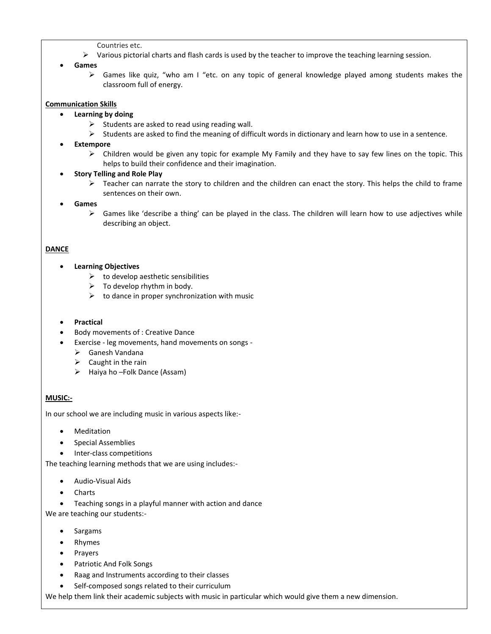- Countries etc.
- $\triangleright$  Various pictorial charts and flash cards is used by the teacher to improve the teaching learning session.

**Games** 

 Games like quiz, "who am I "etc. on any topic of general knowledge played among students makes the classroom full of energy.

### **Communication Skills**

- **Learning by doing** 
	- $\triangleright$  Students are asked to read using reading wall.
	- $\triangleright$  Students are asked to find the meaning of difficult words in dictionary and learn how to use in a sentence.
- **Extempore** 
	- $\triangleright$  Children would be given any topic for example My Family and they have to say few lines on the topic. This helps to build their confidence and their imagination.
- **Story Telling and Role Play** 
	- $\triangleright$  Teacher can narrate the story to children and the children can enact the story. This helps the child to frame sentences on their own.
- **Games** 
	- $\triangleright$  Games like 'describe a thing' can be played in the class. The children will learn how to use adjectives while describing an object.

### **DANCE**

- **Learning Objectives** 
	- $\triangleright$  to develop aesthetic sensibilities
	- $\triangleright$  To develop rhythm in body.
	- $\triangleright$  to dance in proper synchronization with music
- **Practical**
- Body movements of : Creative Dance
- Exercise leg movements, hand movements on songs
	- Ganesh Vandana
	- $\triangleright$  Caught in the rain
	- $\triangleright$  Haiya ho –Folk Dance (Assam)

### **MUSIC:-**

In our school we are including music in various aspects like:-

- Meditation
- Special Assemblies
- Inter-class competitions

The teaching learning methods that we are using includes:-

- Audio-Visual Aids
- Charts
- Teaching songs in a playful manner with action and dance

We are teaching our students:-

- Sargams
- Rhymes
- Prayers
- Patriotic And Folk Songs
- Raag and Instruments according to their classes
- Self-composed songs related to their curriculum

We help them link their academic subjects with music in particular which would give them a new dimension.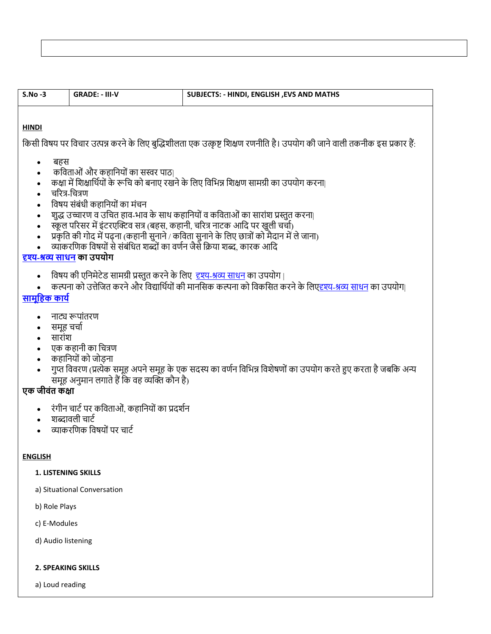# **2. SPEAKING SKILLS**

d) Audio listening

a) Loud reading

# c) E-Modules

b) Role Plays

### a) Situational Conversation

# **1. LISTENING SKILLS**

# **ENGLISH**

- व्याकरणिक विषयों पर चार्ट
- शब्दावली चार्ट
- रंगीन चार्ट पर कविताओं, कहानियों का प्रदर्शन

# **एक जीिंत कक्षा**

- गुप्त विवरण (प्रत्येक समूह अपने समूह के एक सदस्य का वर्णन विभिन्न विशेषणों का उपयोग करते हुए करता है जबकि अन्य समूह अनुमान लगाते हैं कि वह व्यक्ति कौन है)
- कहानियों को जोड़ना
- एक कहानी का वचत्ण
- सारांश
- समूह चर्चा
- नाट्य रूपांतरण

# **[सामूविक](https://www.shabdkosh.com/dictionary/hindi-english/%E0%A4%B8%E0%A4%BE%E0%A4%AE%E0%A5%82%E0%A4%B9%E0%A4%BF%E0%A4%95%20%E0%A4%95%E0%A4%BE%E0%A4%B0%E0%A5%8D%E0%A4%AF/%E0%A4%B8%E0%A4%BE%E0%A4%AE%E0%A5%82%E0%A4%B9%E0%A4%BF%E0%A4%95%20%E0%A4%95%E0%A4%BE%E0%A4%B0%E0%A5%8D%E0%A4%AF-meaning-in-english) कायय**

- कल्पना को उत्तेजित करने और विद्यार्थियों की मानसिक कल्पना को विकसित करने के लिएदृश्य-श्रव्य [साधन](https://www.shabdkosh.com/dictionary/hindi-english/%E0%A4%A6%E0%A5%83%E0%A4%B6%E0%A5%8D%E0%A4%AF-%E0%A4%B6%E0%A5%8D%E0%A4%B0%E0%A4%B5%E0%A5%8D%E0%A4%AF%20%E0%A4%B8%E0%A4%BE%E0%A4%A7%E0%A4%A8/%E0%A4%A6%E0%A5%83%E0%A4%B6%E0%A5%8D%E0%A4%AF-%E0%A4%B6%E0%A5%8D%E0%A4%B0%E0%A4%B5%E0%A5%8D%E0%A4%AF%20%E0%A4%B8%E0%A4%BE%E0%A4%A7%E0%A4%A8-meaning-in-english) का उपयोग|
- विषय की एनिमेटेड सामग्री प्रस्तुत करने के लिए <u>दृश्य-श्रव्य [साधन](https://www.shabdkosh.com/dictionary/hindi-english/%E0%A4%A6%E0%A5%83%E0%A4%B6%E0%A5%8D%E0%A4%AF-%E0%A4%B6%E0%A5%8D%E0%A4%B0%E0%A4%B5%E0%A5%8D%E0%A4%AF%20%E0%A4%B8%E0%A4%BE%E0%A4%A7%E0%A4%A8/%E0%A4%A6%E0%A5%83%E0%A4%B6%E0%A5%8D%E0%A4%AF-%E0%A4%B6%E0%A5%8D%E0%A4%B0%E0%A4%B5%E0%A5%8D%E0%A4%AF%20%E0%A4%B8%E0%A4%BE%E0%A4%A7%E0%A4%A8-meaning-in-english)</u> का उपयोग |

# **दृश्य-श्रव्य [साधन](https://www.shabdkosh.com/dictionary/hindi-english/%E0%A4%A6%E0%A5%83%E0%A4%B6%E0%A5%8D%E0%A4%AF-%E0%A4%B6%E0%A5%8D%E0%A4%B0%E0%A4%B5%E0%A5%8D%E0%A4%AF%20%E0%A4%B8%E0%A4%BE%E0%A4%A7%E0%A4%A8/%E0%A4%A6%E0%A5%83%E0%A4%B6%E0%A5%8D%E0%A4%AF-%E0%A4%B6%E0%A5%8D%E0%A4%B0%E0%A4%B5%E0%A5%8D%E0%A4%AF%20%E0%A4%B8%E0%A4%BE%E0%A4%A7%E0%A4%A8-meaning-in-english) का उपयोग**

- व्याकरणिक विषयों से संबंधित शब्दों का वर्णन जैसे क्रिया शब्द, कारक आदि
- प्रकृति की गोद में पढ़ना (कहानी सुनाने / कविता सुनाने के लिए छात्रों को मैदान में ले जाना)
- स्कूल परिसर में इंटरएक्टिव सत्र (बहस, कहानी, चरित्र नाटक आदि पर खुली चर्चा)
- शुद्ध उच्चारण व उचित हाव-भाव के साथ कहानियों व कविताओं का सारांश प्रस्तुत करना|
- विषय संबंधी कहानियों का मंचन
- चररत्-वचत्ण
- ले कक्षा में शिक्षार्थियों के रूचि को बनाए रखने के लिए विभिन्न शिक्षण सामग्री का उपयोग करना।
- कविताओं और कहानियों का सस्वर पाठ।
- बहस

किसी विषय पर विचार उत्पन्न करने के लिए बुद्धिशीलता एक उत्कृष्ट शिक्षण रणनीति है। उपयोग की जाने वाली तकनीक इस प्रकार हैं:

# **HINDI**

| S.No -3 | <b>GRADE: - III-V</b> | SUBJECTS: - HINDI, ENGLISH ,EVS AND MATHS |
|---------|-----------------------|-------------------------------------------|
|         |                       |                                           |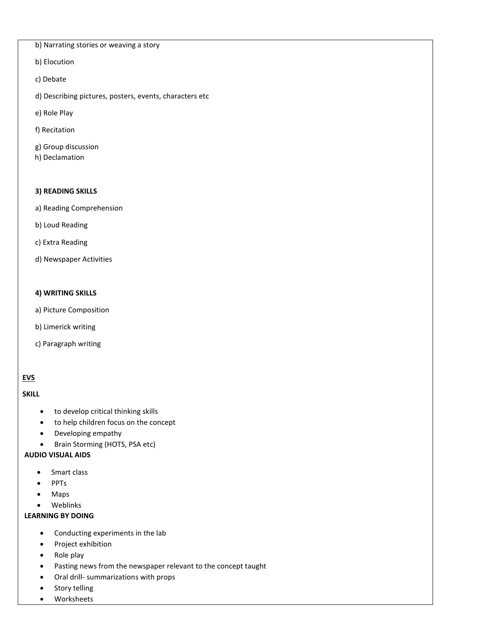b) Narrating stories or weaving a story

- b) Elocution
- c) Debate

d) Describing pictures, posters, events, characters etc

- e) Role Play
- f) Recitation
- g) Group discussion
- h) Declamation

### **3) READING SKILLS**

- a) Reading Comprehension
- b) Loud Reading
- c) Extra Reading
- d) Newspaper Activities

### **4) WRITING SKILLS**

- a) Picture Composition
- b) Limerick writing
- c) Paragraph writing

### **EVS**

### **SKILL**

- to develop critical thinking skills
- to help children focus on the concept
- Developing empathy
- Brain Storming (HOTS, PSA etc)

### **AUDIO VISUAL AIDS**

- Smart class
- PPTs
- Maps
- Weblinks

### **LEARNING BY DOING**

- Conducting experiments in the lab
- Project exhibition
- Role play
- Pasting news from the newspaper relevant to the concept taught
- Oral drill- summarizations with props
- Story telling
- Worksheets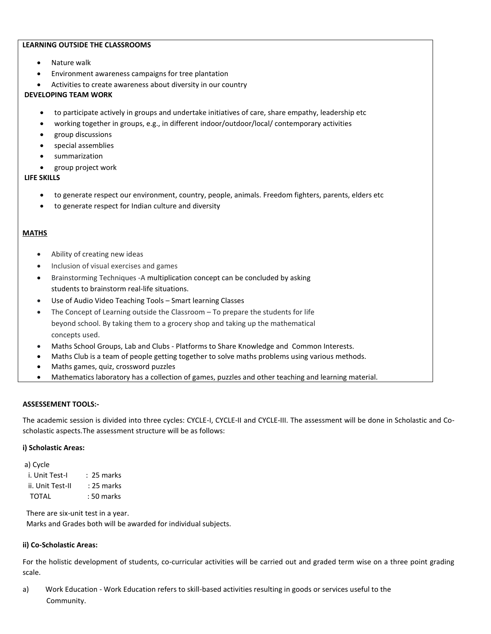### **LEARNING OUTSIDE THE CLASSROOMS**

- Nature walk
- Environment awareness campaigns for tree plantation
- Activities to create awareness about diversity in our country

### **DEVELOPING TEAM WORK**

- to participate actively in groups and undertake initiatives of care, share empathy, leadership etc
- working together in groups, e.g., in different indoor/outdoor/local/ contemporary activities
- group discussions
- special assemblies
- summarization
- group project work

### **LIFE SKILLS**

- to generate respect our environment, country, people, animals. Freedom fighters, parents, elders etc
- to generate respect for Indian culture and diversity

### **MATHS**

- Ability of creating new ideas
- Inclusion of visual exercises and games
- Brainstorming Techniques -A multiplication concept can be concluded by asking students to brainstorm real-life situations.
- Use of [Audio Video Teaching Tools](https://www.fractuslearning.com/video-tools-for-teachers/)  Smart learning Classes
- The Concept of Learning outside the Classroom To prepare the students for life beyond school. By taking them to a grocery shop and taking up the mathematical concepts used.
- Maths School Groups, Lab and Clubs Platforms to Share Knowledge and Common Interests.
- Maths Club is a team of people getting together to solve maths problems using various methods.
- Maths games, quiz, crossword puzzles
- Mathematics laboratory has a collection of games, puzzles and other teaching and learning material.

### **ASSESSEMENT TOOLS:-**

The academic session is divided into three cycles: CYCLE-I, CYCLE-II and CYCLE-III. The assessment will be done in Scholastic and Coscholastic aspects.The assessment structure will be as follows:

### **i) Scholastic Areas:**

| VC.<br>ι۴<br>. . |  |
|------------------|--|
|------------------|--|

| i. Unit Test-I   | $: 25$ marks |
|------------------|--------------|
| ii. Unit Test-II | : 25 marks   |
| TOTAL            | $:50$ marks  |

There are six-unit test in a year.

Marks and Grades both will be awarded for individual subjects.

### **ii) Co-Scholastic Areas:**

For the holistic development of students, co-curricular activities will be carried out and graded term wise on a three point grading scale.

a) Work Education - Work Education refers to skill-based activities resulting in goods or services useful to the Community.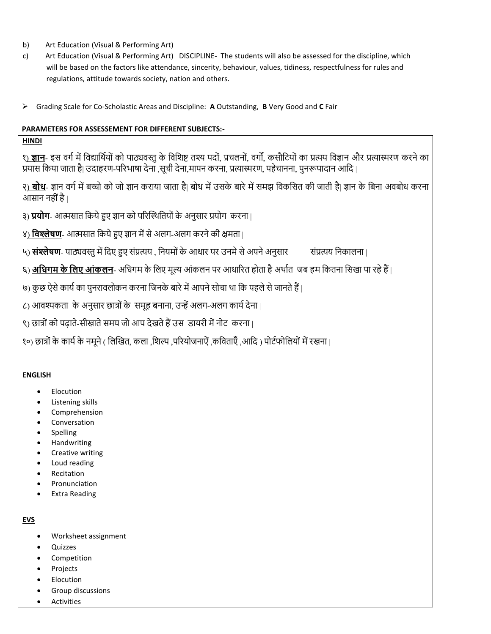- b) Art Education (Visual & Performing Art)
- c) Art Education (Visual & Performing Art) DISCIPLINE- The students will also be assessed for the discipline, which will be based on the factors like attendance, sincerity, behaviour, values, tidiness, respectfulness for rules and regulations, attitude towards society, nation and others.
- Grading Scale for Co-Scholastic Areas and Discipline: **A** Outstanding, **B** Very Good and **C** Fair

### **PARAMETERS FOR ASSESSEMENT FOR DIFFERENT SUBJECTS:-**

# **HINDI**

<u>१) **ज्ञान**-</u> इस वर्ग में विद्यार्थियों को पाठ्यवस्तु के विशिष्ट तश्य पदों, प्रचलनों, वर्गों, कसौटियों का प्रत्यय विज्ञान और प्रत्यास्मरण करने का प्रयास किया जाता है| उदाहरण-परिभाषा देना ,सूची देना,मापन करना, प्रत्यास्मरण, पहेचानना, पुनरूपादान आदि |

२<u>) **बोध**-</u> ज्ञान वर्ग में बच्चो को जो ज्ञान कराया जाता है| बोध में उसके बारे में समझ विकसित की जाती है| ज्ञान के बिना अवबोध करना आसान नहीं है |

<u>३) **प्रयोग**- आत्मसात किये हुए ज्ञान को परिस्थितियों के अनुसार प्रयोग करना |</u>

४) **विश्लेषण**- आत्मसात किये हुए ज्ञान में से अलग-अलग करने की क्षमता |

५) **संश्लेषण**- पाठ्यवस्तु में दिए हुए संप्रत्यय , नियमों के आधार पर उनमे से अपने अनुसार संप्रत्यय निकालना |

६) <mark>अधिगम के लिए आंकलन</mark>- अधिगम के लिए मूल्य आंकलन पर आधारित होता है अर्थात जब हम कितना सिखा पा रहे हैं |

७) कुछ ऐसे कार्य का पुनरावलोकन करना जिनके बारे में आपने सोचा था कि पहले से जानते हैं |

८) आवश्यकता के अनुसार छात्रों के समूह बनाना, उन्हें अलग-अलग कार्य देना |

९) छात्रों को पढ़ाते-सीखाते समय जो आप देखते हैं उस डायरी में नोट करना |

१०) छात्रों के कार्य के नमूने ( लिखित, कला ,शिल्प ,परियोजनाऐं ,कविताएँ ,आदि ) पोर्टफोलियों में रखना |

### **ENGLISH**

- Elocution
- Listening skills
- Comprehension
- Conversation
- Spelling
- Handwriting
- Creative writing
- Loud reading
- Recitation
- Pronunciation
- Extra Reading

# **EVS**

- Worksheet assignment
- Quizzes
- Competition
- Projects
- Elocution
- Group discussions
- Activities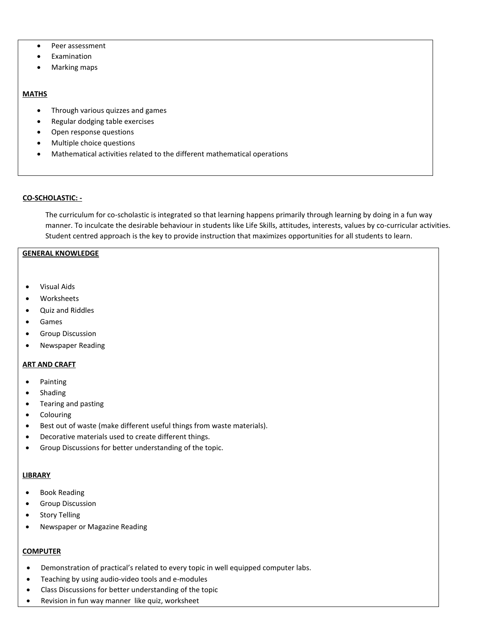- Peer assessment
- Examination
- Marking maps

### **MATHS**

- Through various quizzes and games
- Regular dodging table exercises
- Open response questions
- Multiple choice questions
- Mathematical activities related to the different mathematical operations

### **CO-SCHOLASTIC: -**

The curriculum for co-scholastic is integrated so that learning happens primarily through learning by doing in a fun way manner. To inculcate the desirable behaviour in students like Life Skills, attitudes, interests, values by co-curricular activities. Student centred approach is the key to provide instruction that maximizes opportunities for all students to learn.

### **GENERAL KNOWLEDGE**

- Visual Aids
- Worksheets
- Quiz and Riddles
- Games
- **•** Group Discussion
- Newspaper Reading

### **ART AND CRAFT**

- Painting
- Shading
- Tearing and pasting
- Colouring
- Best out of waste (make different useful things from waste materials).
- Decorative materials used to create different things.
- Group Discussions for better understanding of the topic.

### **LIBRARY**

- **•** Book Reading
- **•** Group Discussion
- **•** Story Telling
- Newspaper or Magazine Reading

# **COMPUTER**

- Demonstration of practical's related to every topic in well equipped computer labs.
- Teaching by using audio-video tools and e-modules
- Class Discussions for better understanding of the topic
- Revision in fun way manner like quiz, worksheet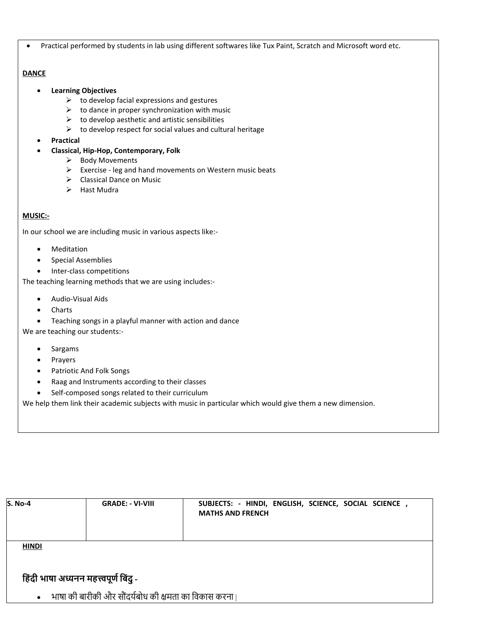Practical performed by students in lab using different softwares like Tux Paint, Scratch and Microsoft word etc.

### **DANCE**

- **Learning Objectives** 
	- $\triangleright$  to develop facial expressions and gestures
	- $\triangleright$  to dance in proper synchronization with music
	- $\triangleright$  to develop aesthetic and artistic sensibilities
	- $\triangleright$  to develop respect for social values and cultural heritage
- **Practical**
- **Classical, Hip-Hop, Contemporary, Folk** 
	- $\triangleright$  Body Movements
	- $\triangleright$  Exercise leg and hand movements on Western music beats
	- Classical Dance on Music
	- $\triangleright$  Hast Mudra

### **MUSIC:-**

In our school we are including music in various aspects like:-

- Meditation
- Special Assemblies
- Inter-class competitions

The teaching learning methods that we are using includes:-

- Audio-Visual Aids
- Charts
- Teaching songs in a playful manner with action and dance

We are teaching our students:-

- Sargams
- Prayers
- Patriotic And Folk Songs
- Raag and Instruments according to their classes
- Self-composed songs related to their curriculum

We help them link their academic subjects with music in particular which would give them a new dimension.

| <b>S. No-4</b>                         | <b>GRADE: - VI-VIII</b>                               | SUBJECTS: - HINDI, ENGLISH, SCIENCE, SOCIAL SCIENCE,<br><b>MATHS AND FRENCH</b> |
|----------------------------------------|-------------------------------------------------------|---------------------------------------------------------------------------------|
| <b>HINDI</b>                           |                                                       |                                                                                 |
| हिंदी भाषा अध्यनन महत्त्वपूर्ण बिंदु - |                                                       |                                                                                 |
| $\bullet$                              | ्भाषा की बारीकी और सौंदर्यबोध की क्षमता का विकास करना |                                                                                 |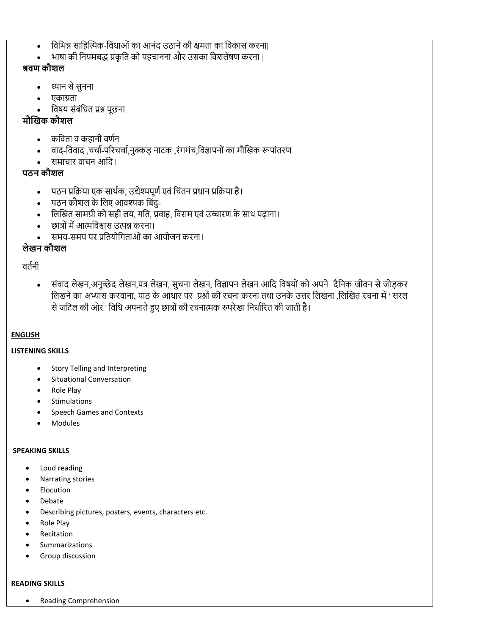# विभिन्न साहित्यिक-विधाओं का आनंद उठाने की क्षमता का विकास करना|

• वाद-विवाद ,चर्चा-परिचर्चा,नुक्कड़ नाटक ,रंगमंच,विज्ञापनों का मौखिक रूपांतरण

• लिखित सामग्री को सही लय, गति, प्रवाह, विराम एवं उच्चारण के साथ पढ़ाना।

• पठन प्रक्रिया एक सार्थक, उद्येश्यपूर्ण एवं चिंतन प्रधान प्रक्रिया है।

समय-समय पर प्रतियोगिताओं का आयोजन करना।

पठन कौशल के लिए आवश्यक बिंदु-

छात्रों में आत्मविश्वास उत्पन्न करना।

- भाषा की नियमबद्ध प्रकृति को पहचानना और उसका विशलेषण करना |
- 
- 
- 
- 
- **श्रिण कौशि**
- 

- **READING SKILLS** 
	- Reading Comprehension

• संवाद लेखन,अनुच्छेद लेखन,पत्र लेखन, सुचना लेखन, विज्ञापन लेखन आदि विषयों को अपने दैनिक जीवन से जोड़कर लिखने का अभ्यास करवाना, पाठ के आधार पर प्रश्नों की रचना करना तथा उनके उत्तर लिखना ,लिखित रचना में ' सरल से जटिल की ओर ' विधि अपनाते हुए छात्रों की रचनात्मक रुपरेखा निर्धारित की जाती है।

# **ENGLISH**

# **LISTENING SKILLS**

- Story Telling and Interpreting
- Situational Conversation

ध्यान सेसुनना

• विषय संबंधित प्रश्न पूछना

कववता व कहानी वणगन

समाचार वाचन आवद।

एकाग्रता

**मौखिक कौशि**

**पठन कौशि**

**िेिन कौशि**

वर्तनी

- Role Play
- Stimulations
- Speech Games and Contexts
- Modules

# **SPEAKING SKILLS**

- Loud reading
- Narrating stories
- Elocution
- Debate
- Describing pictures, posters, events, characters etc.
- Role Play
- Recitation
- Summarizations
- Group discussion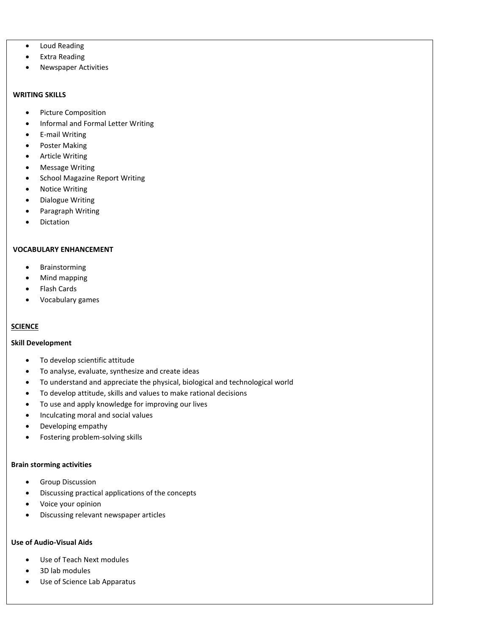- Loud Reading
- **•** Extra Reading
- Newspaper Activities

### **WRITING SKILLS**

- Picture Composition
- Informal and Formal Letter Writing
- E-mail Writing
- Poster Making
- Article Writing
- Message Writing
- School Magazine Report Writing
- Notice Writing
- Dialogue Writing
- Paragraph Writing
- Dictation

### **VOCABULARY ENHANCEMENT**

- **•** Brainstorming
- Mind mapping
- Flash Cards
- Vocabulary games

### **SCIENCE**

### **Skill Development**

- To develop scientific attitude
- To analyse, evaluate, synthesize and create ideas
- To understand and appreciate the physical, biological and technological world
- To develop attitude, skills and values to make rational decisions
- To use and apply knowledge for improving our lives
- Inculcating moral and social values
- Developing empathy
- Fostering problem-solving skills

### **Brain storming activities**

- **•** Group Discussion
- Discussing practical applications of the concepts
- Voice your opinion
- Discussing relevant newspaper articles

# **Use of Audio-Visual Aids**

- Use of Teach Next modules
- 3D lab modules
- Use of Science Lab Apparatus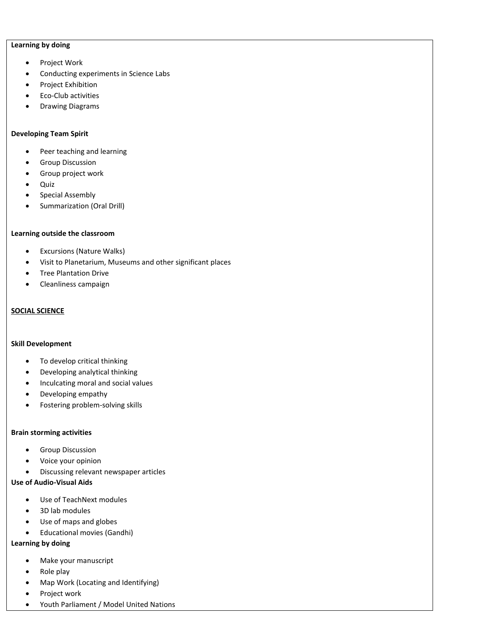#### **Learning by doing**

- Project Work
- Conducting experiments in Science Labs
- Project Exhibition
- Eco-Club activities
- Drawing Diagrams

### **Developing Team Spirit**

- Peer teaching and learning
- **•** Group Discussion
- Group project work
- Quiz
- Special Assembly
- Summarization (Oral Drill)

### **Learning outside the classroom**

- Excursions (Nature Walks)
- Visit to Planetarium, Museums and other significant places
- **•** Tree Plantation Drive
- Cleanliness campaign

### **SOCIAL SCIENCE**

### **Skill Development**

- To develop critical thinking
- Developing analytical thinking
- Inculcating moral and social values
- Developing empathy
- Fostering problem-solving skills

### **Brain storming activities**

- **•** Group Discussion
- Voice your opinion
- Discussing relevant newspaper articles

### **Use of Audio-Visual Aids**

- Use of TeachNext modules
- 3D lab modules
- Use of maps and globes
- Educational movies (Gandhi)

### **Learning by doing**

- Make your manuscript
- Role play
- Map Work (Locating and Identifying)
- Project work
- Youth Parliament / Model United Nations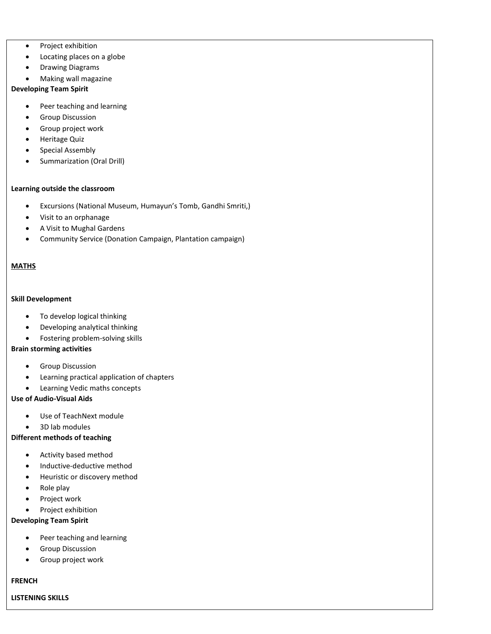- Project exhibition
- Locating places on a globe
- Drawing Diagrams
- Making wall magazine

### **Developing Team Spirit**

- Peer teaching and learning
- **•** Group Discussion
- **•** Group project work
- **•** Heritage Quiz
- Special Assembly
- Summarization (Oral Drill)

### **Learning outside the classroom**

- Excursions (National Museum, Humayun's Tomb, Gandhi Smriti,)
- Visit to an orphanage
- A Visit to Mughal Gardens
- Community Service (Donation Campaign, Plantation campaign)

### **MATHS**

### **Skill Development**

- To develop logical thinking
- Developing analytical thinking
- Fostering problem-solving skills

### **Brain storming activities**

- **•** Group Discussion
- Learning practical application of chapters
- Learning Vedic maths concepts

### **Use of Audio-Visual Aids**

- Use of TeachNext module
- 3D lab modules

### **Different methods of teaching**

- Activity based method
- Inductive-deductive method
- Heuristic or discovery method
- Role play
- Project work
- Project exhibition

### **Developing Team Spirit**

- Peer teaching and learning
- **•** Group Discussion
- Group project work

### **FRENCH**

### **LISTENING SKILLS**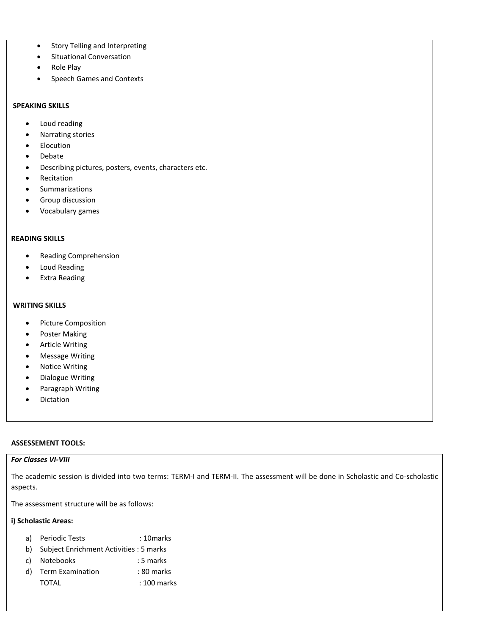- Story Telling and Interpreting
- **•** Situational Conversation
- Role Play
- Speech Games and Contexts

### **SPEAKING SKILLS**

- Loud reading
- Narrating stories
- **•** Elocution
- Debate
- Describing pictures, posters, events, characters etc.
- Recitation
- **•** Summarizations
- **•** Group discussion
- Vocabulary games

### **READING SKILLS**

- Reading Comprehension
- Loud Reading
- **•** Extra Reading

### **WRITING SKILLS**

- Picture Composition
- **•** Poster Making
- **•** Article Writing
- Message Writing
- Notice Writing
- Dialogue Writing
- Paragraph Writing
- Dictation

### **ASSESSEMENT TOOLS:**

### *For Classes VI-VIII*

The academic session is divided into two terms: TERM-I and TERM-II. The assessment will be done in Scholastic and Co-scholastic aspects.

The assessment structure will be as follows:

### **i) Scholastic Areas:**

- a) Periodic Tests : 10 : 10 marks
- b) Subject Enrichment Activities : 5 marks
- c) Notebooks : 5 marks
- d) Term Examination : 80 marks TOTAL : 100 marks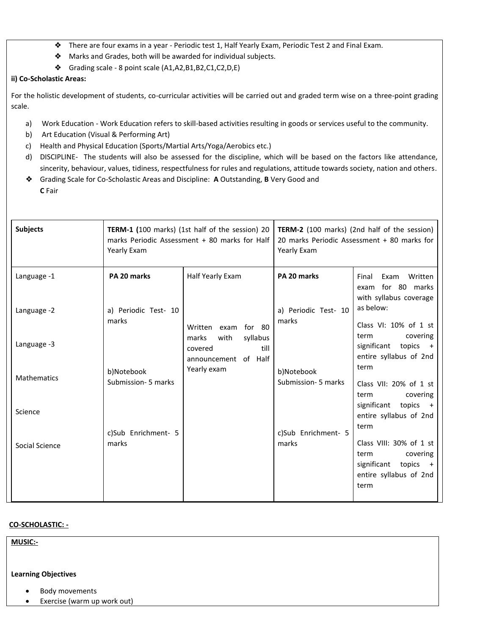- ❖ There are four exams in a year Periodic test 1, Half Yearly Exam, Periodic Test 2 and Final Exam.
- ❖ Marks and Grades, both will be awarded for individual subjects.
- ❖ Grading scale 8 point scale (A1,A2,B1,B2,C1,C2,D,E)

### **ii) Co-Scholastic Areas:**

For the holistic development of students, co-curricular activities will be carried out and graded term wise on a three-point grading scale.

- a) Work Education Work Education refers to skill-based activities resulting in goods or services useful to the community.
- b) Art Education (Visual & Performing Art)
- c) Health and Physical Education (Sports/Martial Arts/Yoga/Aerobics etc.)
- d) DISCIPLINE- The students will also be assessed for the discipline, which will be based on the factors like attendance, sincerity, behaviour, values, tidiness, respectfulness for rules and regulations, attitude towards society, nation and others.
- ❖ Grading Scale for Co-Scholastic Areas and Discipline: **A** Outstanding, **B** Very Good and **C** Fair

| <b>Subjects</b>    | Yearly Exam                       | <b>TERM-1 (100 marks)</b> (1st half of the session) 20<br>marks Periodic Assessment + 80 marks for Half | <b>TERM-2</b> (100 marks) (2nd half of the session)<br>20 marks Periodic Assessment + 80 marks for<br>Yearly Exam |                                                                                                          |
|--------------------|-----------------------------------|---------------------------------------------------------------------------------------------------------|-------------------------------------------------------------------------------------------------------------------|----------------------------------------------------------------------------------------------------------|
| Language -1        | PA 20 marks                       | Half Yearly Exam                                                                                        | PA 20 marks                                                                                                       | Final<br>Exam<br>Written<br>exam for 80 marks<br>with syllabus coverage                                  |
| Language -2        | a) Periodic Test- 10<br>marks     |                                                                                                         | a) Periodic Test- 10<br>marks                                                                                     | as below:<br>Class VI: 10% of 1 st                                                                       |
| Language -3        |                                   | for 80<br>Written exam<br>with<br>syllabus<br>marks<br>till<br>covered<br>announcement of Half          |                                                                                                                   | term<br>covering<br>significant topics +<br>entire syllabus of 2nd                                       |
| <b>Mathematics</b> | b)Notebook<br>Submission- 5 marks | Yearly exam                                                                                             | b)Notebook<br>Submission- 5 marks                                                                                 | term<br>Class VII: 20% of 1 st<br>covering<br>term                                                       |
| Science            |                                   |                                                                                                         |                                                                                                                   | significant<br>topics +<br>entire syllabus of 2nd<br>term                                                |
| Social Science     | c)Sub Enrichment- 5<br>marks      |                                                                                                         | c)Sub Enrichment- 5<br>marks                                                                                      | Class VIII: 30% of 1 st<br>covering<br>term<br>significant<br>topics +<br>entire syllabus of 2nd<br>term |

### **CO-SCHOLASTIC: -**

**MUSIC:-** 

### **Learning Objectives**

- Body movements
- Exercise (warm up work out)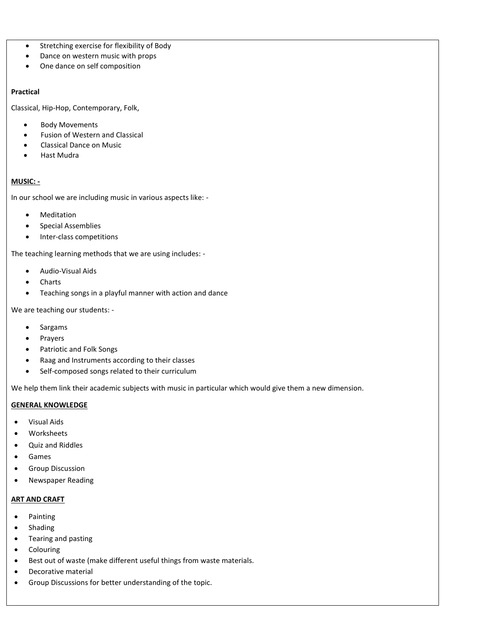- **•** Stretching exercise for flexibility of Body
- Dance on western music with props
- One dance on self composition

### **Practical**

Classical, Hip-Hop, Contemporary, Folk,

- Body Movements
- Fusion of Western and Classical
- Classical Dance on Music
- Hast Mudra

### **MUSIC: -**

In our school we are including music in various aspects like: -

- Meditation
- Special Assemblies
- Inter-class competitions

The teaching learning methods that we are using includes: -

- Audio-Visual Aids
- Charts
- Teaching songs in a playful manner with action and dance

We are teaching our students: -

- Sargams
- Prayers
- Patriotic and Folk Songs
- Raag and Instruments according to their classes
- Self-composed songs related to their curriculum

We help them link their academic subjects with music in particular which would give them a new dimension.

### **GENERAL KNOWLEDGE**

- Visual Aids
- Worksheets
- Quiz and Riddles
- Games
- **•** Group Discussion
- Newspaper Reading

### **ART AND CRAFT**

- Painting
- Shading
- Tearing and pasting
- Colouring
- Best out of waste (make different useful things from waste materials.
- Decorative material
- Group Discussions for better understanding of the topic.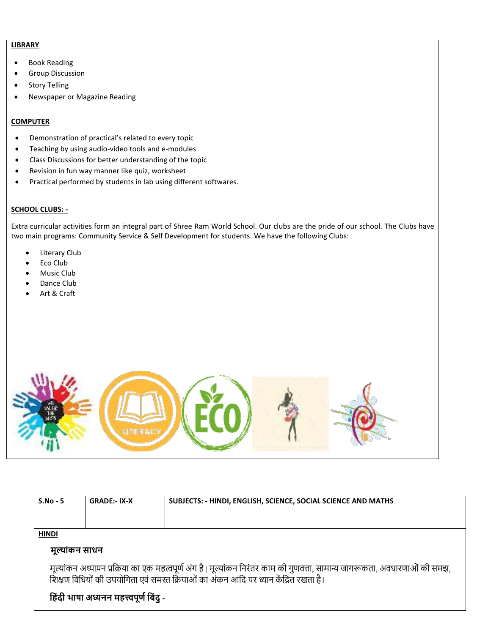### **LIBRARY**

- Book Reading
- Group Discussion
- Story Telling
- Newspaper or Magazine Reading

### **COMPUTER**

- Demonstration of practical's related to every topic
- Teaching by using audio-video tools and e-modules
- Class Discussions for better understanding of the topic
- Revision in fun way manner like quiz, worksheet
- Practical performed by students in lab using different softwares.

### **SCHOOL CLUBS: -**

Extra curricular activities form an integral part of Shree Ram World School. Our clubs are the pride of our school. The Clubs have two main programs: Community Service & Self Development for students. We have the following Clubs:

- Literary Club
- Eco Club
- Music Club
- Dance Club
- Art & Craft



| $S.No - 5$   | <b>GRADE:- IX-X</b> | SUBJECTS: - HINDI, ENGLISH, SCIENCE, SOCIAL SCIENCE AND MATHS |  |  |  |
|--------------|---------------------|---------------------------------------------------------------|--|--|--|
|              |                     |                                                               |  |  |  |
|              |                     |                                                               |  |  |  |
| <u>HINDI</u> |                     |                                                               |  |  |  |

# **मूल्ांकन साधन**

मूल्यांकन अध्यापन प्रक्रिया का एक महत्वपूर्ण अग है | मूल्यांकन निरतर काम की गुणवत्ता, सामान्य जागरूकता, अवधारणाओं की समझ, शिक्षण विधियों की उपयोगिता एवं समस्त क्रियाओं का अंकन आदि पर ध्यान केंद्रित रखता है।

# **विंदी भाषा अध्यनन मित्त्वपूणयवबंदु -**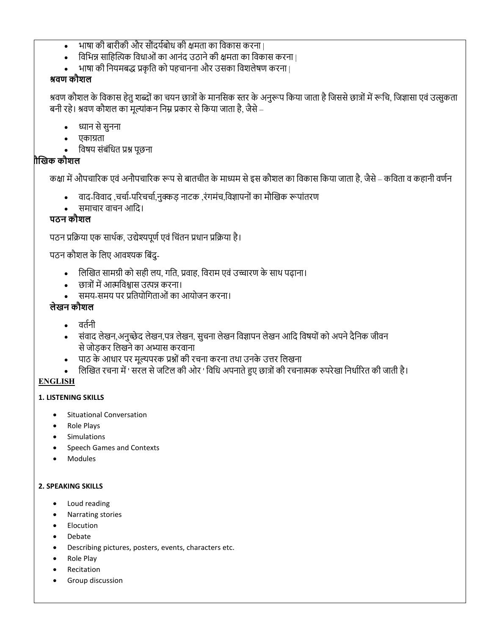- भाषा की बारीकी और सौंदर्यबोध की क्षमता का विकास करना |
- विभिन्न साहित्यिक विधाओं का आनंद उठाने की क्षमता का विकास करना |
- भाषा की नियमबद्ध प्रकृति को पहचानना और उसका विशलेषण करना |

# **श्रिण कौशि**

श्रवण कौशल के विकास हेतु शब्दों का चयन छात्रों के मानसिक स्तर के अनुरूप किया जाता है जिससे छात्रों में रूचि, जिज्ञासा एवं उत्सुकता बनी रहे। श्रवण कौशल का मूल्यांकन निम्न प्रकार से किया जाता है, जैसे –

- ध्यान सेसुनना
- एकाग्रता
- विषय संबंधित प्रश्न पूछना

# **मौखिक कौशि**

कक्षा में औपचारिक एवं अनौपचारिक रूप से बातचीत के माध्यम से इस कौशल का विकास किया जाता है, जैसे – कविता व कहानी वर्णन

- वाद-विवाद ,चर्चा-परिचर्चा,नुक्कड़ नाटक ,रंगमंच,विज्ञापनों का मौखिक रूपांतरण
- समाचार वाचन आवद।

# **पठन कौशि**

पठन प्रक्रिया एक सार्थक, उद्येश्यपूर्ण एवं चिंतन प्रधान प्रक्रिया है।

पठन कौशल के लिए आवश्यक बिंदु-

- लिखित सामग्री को सही लय, गति, प्रवाह, विराम एवं उच्चारण के साथ पढ़ाना।
- छात्रों में आत्मविश्वास उत्पन्न करना।
- समय-समय पर प्रतियोगिताओं का आयोजन करना।
- 
- 

# **िेिन कौशि**

- वर्तनी
- संवाद लेखन,अनुच्छेद लेखन,पत्र लेखन, सुचना लेखन विज्ञापन लेखन आदि विषयों को अपने दैनिक जीवन से जोड़कर लिखने का अभ्यास करवाना
- पाठ के आधार पर मूल्यपरक प्रश्नों की रचना करना तथा उनके उत्तर लिखना
- लिखित रचना में ' सरल से जटिल की ओर ' विधि अपनाते हुए छात्रों की रचनात्मक रुपरेखा निर्धारित की जाती है।

# **ENGLISH**

# **1. LISTENING SKILLS**

- Situational Conversation
- Role Plays
- Simulations
- Speech Games and Contexts
- Modules

# **2. SPEAKING SKILLS**

- Loud reading
- Narrating stories
- Elocution
- Debate
- Describing pictures, posters, events, characters etc.
- Role Play
- Recitation
- Group discussion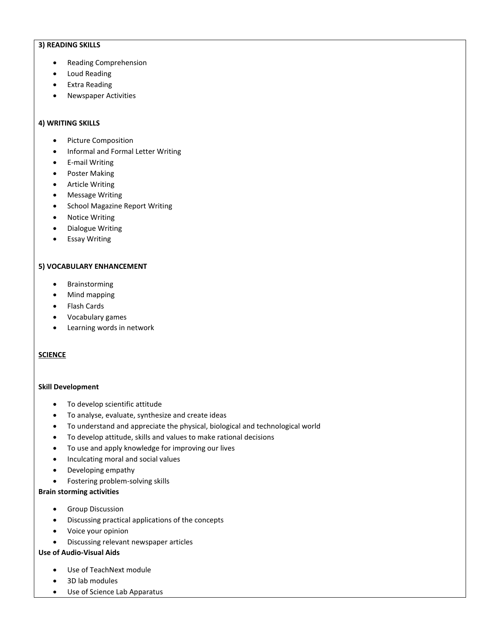### **3) READING SKILLS**

- Reading Comprehension
- Loud Reading
- Extra Reading
- Newspaper Activities

### **4) WRITING SKILLS**

- Picture Composition
- Informal and Formal Letter Writing
- E-mail Writing
- **•** Poster Making
- Article Writing
- Message Writing
- School Magazine Report Writing
- Notice Writing
- Dialogue Writing
- Essay Writing

### **5) VOCABULARY ENHANCEMENT**

- Brainstorming
- Mind mapping
- Flash Cards
- Vocabulary games
- Learning words in network

### **SCIENCE**

### **Skill Development**

- To develop scientific attitude
- To analyse, evaluate, synthesize and create ideas
- To understand and appreciate the physical, biological and technological world
- To develop attitude, skills and values to make rational decisions
- To use and apply knowledge for improving our lives
- Inculcating moral and social values
- Developing empathy
- Fostering problem-solving skills

### **Brain storming activities**

- Group Discussion
- Discussing practical applications of the concepts
- Voice your opinion
- Discussing relevant newspaper articles

### **Use of Audio-Visual Aids**

- Use of TeachNext module
- 3D lab modules
- Use of Science Lab Apparatus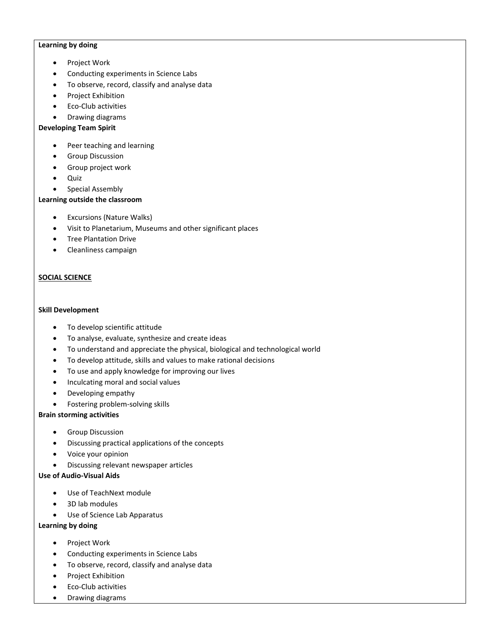### **Learning by doing**

- Project Work
- Conducting experiments in Science Labs
- To observe, record, classify and analyse data
- Project Exhibition
- Eco-Club activities
- Drawing diagrams

### **Developing Team Spirit**

- Peer teaching and learning
- Group Discussion
- Group project work
- Quiz
- Special Assembly

### **Learning outside the classroom**

- Excursions (Nature Walks)
- Visit to Planetarium, Museums and other significant places
- Tree Plantation Drive
- Cleanliness campaign

### **SOCIAL SCIENCE**

### **Skill Development**

- To develop scientific attitude
- To analyse, evaluate, synthesize and create ideas
- To understand and appreciate the physical, biological and technological world
- To develop attitude, skills and values to make rational decisions
- To use and apply knowledge for improving our lives
- Inculcating moral and social values
- Developing empathy
- Fostering problem-solving skills

### **Brain storming activities**

- **•** Group Discussion
- Discussing practical applications of the concepts
- Voice your opinion
- Discussing relevant newspaper articles

### **Use of Audio-Visual Aids**

- Use of TeachNext module
- 3D lab modules
- Use of Science Lab Apparatus

### **Learning by doing**

- Project Work
- Conducting experiments in Science Labs
- To observe, record, classify and analyse data
- Project Exhibition
- Eco-Club activities
- Drawing diagrams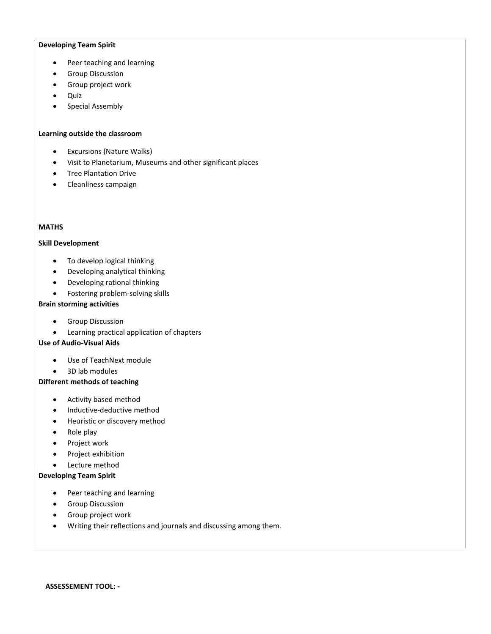### **Developing Team Spirit**

- Peer teaching and learning
- Group Discussion
- Group project work
- Quiz
- Special Assembly

### **Learning outside the classroom**

- Excursions (Nature Walks)
- Visit to Planetarium, Museums and other significant places
- Tree Plantation Drive
- Cleanliness campaign

### **MATHS**

### **Skill Development**

- To develop logical thinking
- Developing analytical thinking
- Developing rational thinking
- Fostering problem-solving skills

### **Brain storming activities**

- **•** Group Discussion
- Learning practical application of chapters

### **Use of Audio-Visual Aids**

- Use of TeachNext module
- 3D lab modules

### **Different methods of teaching**

- Activity based method
- Inductive-deductive method
- Heuristic or discovery method
- Role play
- Project work
- Project exhibition
- Lecture method

### **Developing Team Spirit**

- Peer teaching and learning
- **•** Group Discussion
- Group project work
- Writing their reflections and journals and discussing among them.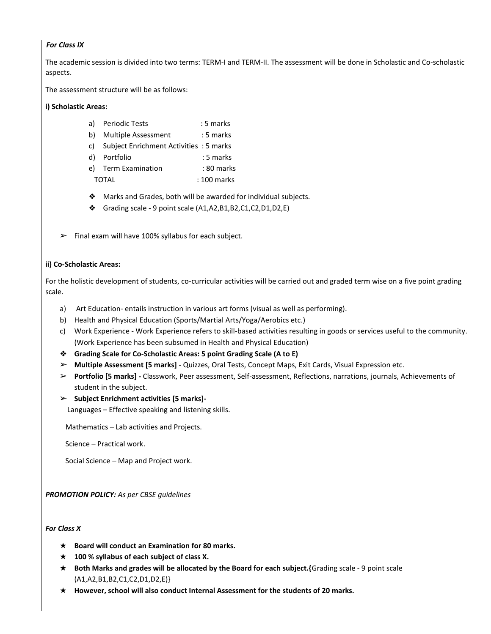### *For Class IX*

The academic session is divided into two terms: TERM-I and TERM-II. The assessment will be done in Scholastic and Co-scholastic aspects.

The assessment structure will be as follows:

### **i) Scholastic Areas:**

| a) Periodic Tests | : 5 marks |
|-------------------|-----------|
|-------------------|-----------|

- b) Multiple Assessment : 5 marks
- c) Subject Enrichment Activities : 5 marks
- d) Portfolio : 5 marks
- e) Term Examination : 80 marks TOTAL : 100 marks
- ❖ Marks and Grades, both will be awarded for individual subjects.
- ❖ Grading scale 9 point scale (A1,A2,B1,B2,C1,C2,D1,D2,E)

 $\blacktriangleright$  Final exam will have 100% syllabus for each subject.

### **ii) Co-Scholastic Areas:**

For the holistic development of students, co-curricular activities will be carried out and graded term wise on a five point grading scale.

- a) Art Education- entails instruction in various art forms (visual as well as performing).
- b) Health and Physical Education (Sports/Martial Arts/Yoga/Aerobics etc.)
- c) Work Experience Work Experience refers to skill-based activities resulting in goods or services useful to the community. (Work Experience has been subsumed in Health and Physical Education)
- ❖ **Grading Scale for Co-Scholastic Areas: 5 point Grading Scale (A to E)**
- ➢ **Multiple Assessment [5 marks]** Quizzes, Oral Tests, Concept Maps, Exit Cards, Visual Expression etc.
- ➢ **Portfolio [5 marks] -** Classwork, Peer assessment, Self-assessment, Reflections, narrations, journals, Achievements of student in the subject.
- ➢ **Subject Enrichment activities [5 marks]-**

Languages – Effective speaking and listening skills.

Mathematics – Lab activities and Projects.

Science – Practical work.

Social Science – Map and Project work.

*PROMOTION POLICY: As per CBSE guidelines* 

### *For Class X*

- ★ **Board will conduct an Examination for 80 marks.**
- ★ **100 % syllabus of each subject of class X.**
- ★ **Both Marks and grades will be allocated by the Board for each subject.{**Grading scale 9 point scale (A1,A2,B1,B2,C1,C2,D1,D2,E)}
- ★ **However, school will also conduct Internal Assessment for the students of 20 marks.**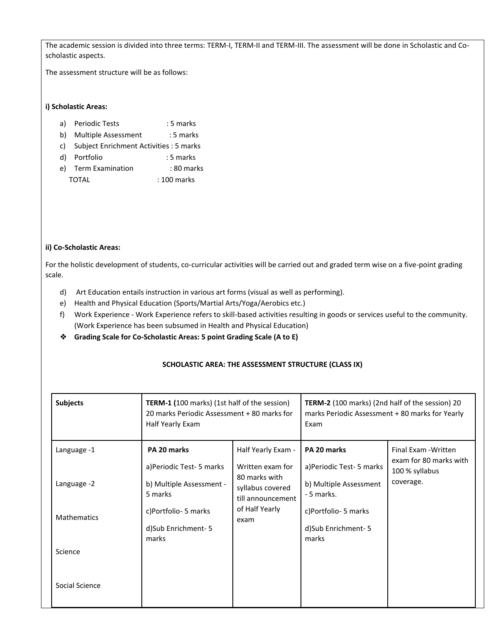The academic session is divided into three terms: TERM-I, TERM-II and TERM-III. The assessment will be done in Scholastic and Coscholastic aspects.

The assessment structure will be as follows:

### **i) Scholastic Areas:**

- a) Periodic Tests : 5 marks
- b) Multiple Assessment : 5 marks
- c) Subject Enrichment Activities : 5 marks
- d) Portfolio : 5 marks
- e) Term Examination : 80 marks TOTAL : 100 marks

### **ii) Co-Scholastic Areas:**

For the holistic development of students, co-curricular activities will be carried out and graded term wise on a five-point grading scale.

- d) Art Education entails instruction in various art forms (visual as well as performing).
- e) Health and Physical Education (Sports/Martial Arts/Yoga/Aerobics etc.)
- f) Work Experience Work Experience refers to skill-based activities resulting in goods or services useful to the community. (Work Experience has been subsumed in Health and Physical Education)
- ❖ **Grading Scale for Co-Scholastic Areas: 5 point Grading Scale (A to E)**

| <b>Subjects</b>                   | <b>TERM-1 (100 marks) (1st half of the session)</b><br>20 marks Periodic Assessment + 80 marks for<br>Half Yearly Exam |                                                                                  | <b>TERM-2</b> (100 marks) (2nd half of the session) 20<br>marks Periodic Assessment + 80 marks for Yearly<br>Exam |                                                |
|-----------------------------------|------------------------------------------------------------------------------------------------------------------------|----------------------------------------------------------------------------------|-------------------------------------------------------------------------------------------------------------------|------------------------------------------------|
| Language -1                       | PA 20 marks<br>a) Periodic Test- 5 marks                                                                               | Half Yearly Exam -<br>Written exam for                                           | PA 20 marks<br>a) Periodic Test- 5 marks                                                                          | Final Exam - Written<br>exam for 80 marks with |
| Language -2<br><b>Mathematics</b> | b) Multiple Assessment -<br>5 marks<br>c)Portfolio- 5 marks<br>d)Sub Enrichment-5<br>marks                             | 80 marks with<br>syllabus covered<br>till announcement<br>of Half Yearly<br>exam | b) Multiple Assessment<br>- 5 marks.<br>c)Portfolio- 5 marks<br>d)Sub Enrichment-5<br>marks                       | 100 % syllabus<br>coverage.                    |
| Science                           |                                                                                                                        |                                                                                  |                                                                                                                   |                                                |
| Social Science                    |                                                                                                                        |                                                                                  |                                                                                                                   |                                                |

### **SCHOLASTIC AREA: THE ASSESSMENT STRUCTURE (CLASS IX)**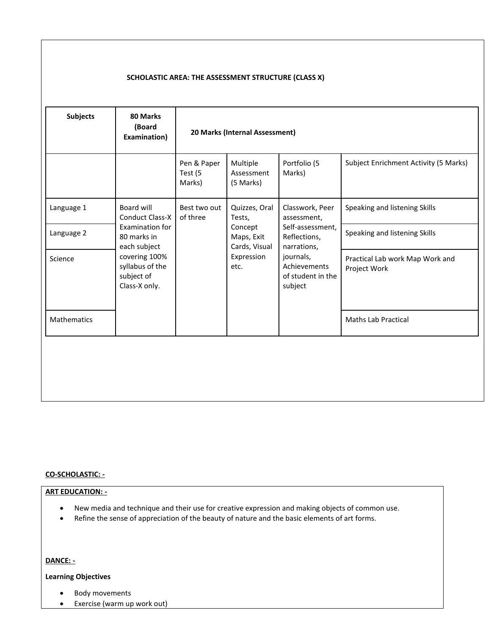### **SCHOLASTIC AREA: THE ASSESSMENT STRUCTURE (CLASS X)**

| <b>Subjects</b>    | 80 Marks<br>(Board<br>Examination)                                                                                                                        | 20 Marks (Internal Assessment)   |                                                           |                                                                                   |                                       |
|--------------------|-----------------------------------------------------------------------------------------------------------------------------------------------------------|----------------------------------|-----------------------------------------------------------|-----------------------------------------------------------------------------------|---------------------------------------|
|                    |                                                                                                                                                           | Pen & Paper<br>Test (5<br>Marks) | Multiple<br>Assessment<br>(5 Marks)                       | Portfolio (5<br>Marks)                                                            | Subject Enrichment Activity (5 Marks) |
| Language 1         | Board will<br><b>Conduct Class-X</b><br>Examination for<br>80 marks in<br>each subject<br>covering 100%<br>syllabus of the<br>subject of<br>Class-X only. | Best two out<br>of three         | Quizzes, Oral<br>Tests,                                   | Classwork, Peer<br>assessment,<br>Self-assessment,<br>Reflections,<br>narrations, | Speaking and listening Skills         |
| Language 2         |                                                                                                                                                           |                                  | Concept<br>Maps, Exit<br>Cards, Visual                    |                                                                                   | Speaking and listening Skills         |
| Science            |                                                                                                                                                           | Expression<br>etc.               | journals,<br>Achievements<br>of student in the<br>subject | Practical Lab work Map Work and<br>Project Work                                   |                                       |
| <b>Mathematics</b> |                                                                                                                                                           |                                  |                                                           |                                                                                   | <b>Maths Lab Practical</b>            |
|                    |                                                                                                                                                           |                                  |                                                           |                                                                                   |                                       |

### **CO-SCHOLASTIC: -**

# **ART EDUCATION: -**

- New media and technique and their use for creative expression and making objects of common use.
- Refine the sense of appreciation of the beauty of nature and the basic elements of art forms.

**DANCE: -** 

**Learning Objectives** 

- **•** Body movements
- Exercise (warm up work out)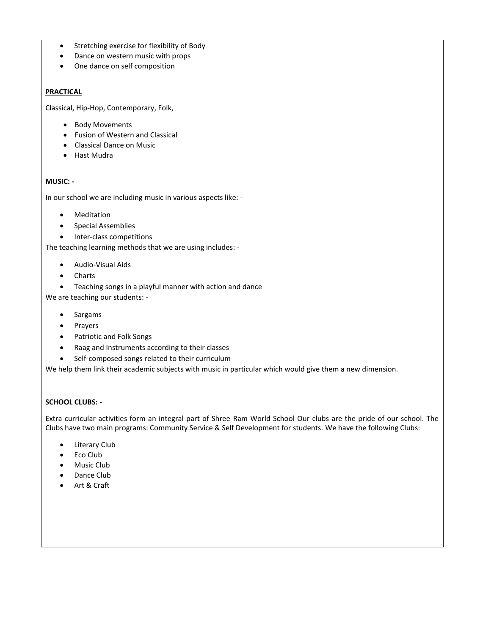- **•** Stretching exercise for flexibility of Body
- Dance on western music with props
- One dance on self composition

### **PRACTICAL**

Classical, Hip-Hop, Contemporary, Folk,

- Body Movements
- Fusion of Western and Classical
- Classical Dance on Music
- Hast Mudra

### **MUSIC: -**

In our school we are including music in various aspects like: -

- **•** Meditation
- Special Assemblies
- Inter-class competitions

The teaching learning methods that we are using includes: -

- Audio-Visual Aids
- Charts
- Teaching songs in a playful manner with action and dance

We are teaching our students: -

- Sargams
- Prayers
- Patriotic and Folk Songs
- Raag and Instruments according to their classes
- Self-composed songs related to their curriculum

We help them link their academic subjects with music in particular which would give them a new dimension.

### **SCHOOL CLUBS: -**

Extra curricular activities form an integral part of Shree Ram World School Our clubs are the pride of our school. The Clubs have two main programs: Community Service & Self Development for students. We have the following Clubs:

- **•** Literary Club
- Eco Club
- Music Club
- Dance Club
- Art & Craft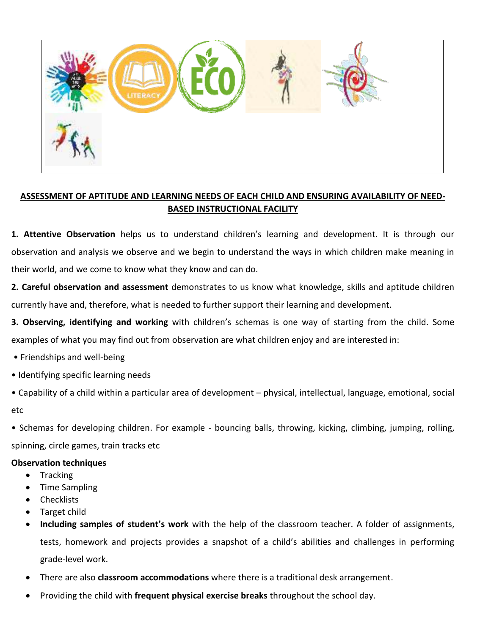

# **ASSESSMENT OF APTITUDE AND LEARNING NEEDS OF EACH CHILD AND ENSURING AVAILABILITY OF NEED-BASED INSTRUCTIONAL FACILITY**

**1. Attentive Observation** helps us to understand children's learning and development. It is through our observation and analysis we observe and we begin to understand the ways in which children make meaning in their world, and we come to know what they know and can do.

**2. Careful observation and assessment** demonstrates to us know what knowledge, skills and aptitude children currently have and, therefore, what is needed to further support their learning and development.

**3. Observing, identifying and working** with children's schemas is one way of starting from the child. Some examples of what you may find out from observation are what children enjoy and are interested in:

- Friendships and well-being
- Identifying specific learning needs
- Capability of a child within a particular area of development physical, intellectual, language, emotional, social etc

• Schemas for developing children. For example - bouncing balls, throwing, kicking, climbing, jumping, rolling, spinning, circle games, train tracks etc

# **Observation techniques**

- Tracking
- Time Sampling
- **Checklists**
- Target child
- **Including samples of student's work** with the help of the classroom teacher. A folder of assignments, tests, homework and projects provides a snapshot of a child's abilities and challenges in performing grade-level work.
- There are also **classroom accommodations** where there is a traditional desk arrangement.
- Providing the child with **frequent physical exercise breaks** throughout the school day.